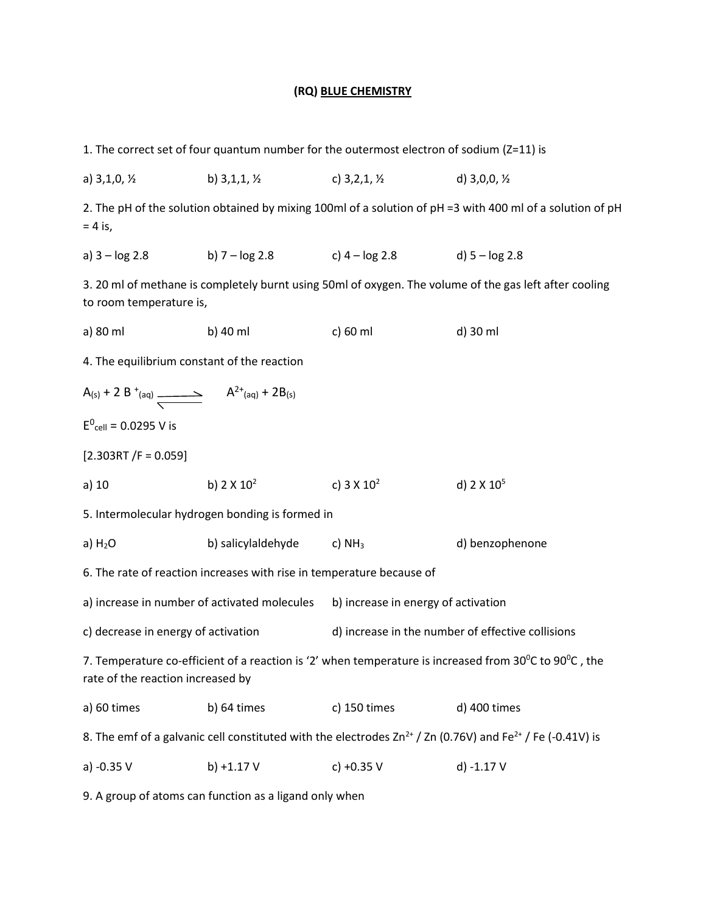## **(RQ) BLUE CHEMISTRY**

| 1. The correct set of four quantum number for the outermost electron of sodium (Z=11) is                                                                       |                                                 |                                                                         |                                                                                                           |  |  |
|----------------------------------------------------------------------------------------------------------------------------------------------------------------|-------------------------------------------------|-------------------------------------------------------------------------|-----------------------------------------------------------------------------------------------------------|--|--|
| a) $3,1,0,$ $\frac{1}{2}$                                                                                                                                      | b) $3,1,1,1/2$                                  | c) $3,2,1, \frac{1}{2}$                                                 | d) $3,0,0, \frac{1}{2}$                                                                                   |  |  |
| $= 4$ is,                                                                                                                                                      |                                                 |                                                                         | 2. The pH of the solution obtained by mixing 100ml of a solution of pH =3 with 400 ml of a solution of pH |  |  |
|                                                                                                                                                                |                                                 | a) $3 - \log 2.8$ b) $7 - \log 2.8$ c) $4 - \log 2.8$ d) $5 - \log 2.8$ |                                                                                                           |  |  |
| 3. 20 ml of methane is completely burnt using 50ml of oxygen. The volume of the gas left after cooling<br>to room temperature is,                              |                                                 |                                                                         |                                                                                                           |  |  |
| a) 80 ml                                                                                                                                                       | b) 40 ml                                        | c) 60 ml                                                                | d) 30 ml                                                                                                  |  |  |
|                                                                                                                                                                | 4. The equilibrium constant of the reaction     |                                                                         |                                                                                                           |  |  |
| $A_{(s)} + 2 B^{+}(aq) \xrightarrow{\phantom{aa}} A^{2+}(aq) + 2B_{(s)}$                                                                                       |                                                 |                                                                         |                                                                                                           |  |  |
| $E^0_{cell} = 0.0295$ V is                                                                                                                                     |                                                 |                                                                         |                                                                                                           |  |  |
| $[2.303RT / F = 0.059]$                                                                                                                                        |                                                 |                                                                         |                                                                                                           |  |  |
| a) $10$                                                                                                                                                        | b) $2 \times 10^2$                              | c) $3 \times 10^2$                                                      | d) $2 \times 10^5$                                                                                        |  |  |
|                                                                                                                                                                | 5. Intermolecular hydrogen bonding is formed in |                                                                         |                                                                                                           |  |  |
| $a)$ H <sub>2</sub> O                                                                                                                                          | b) salicylaldehyde                              | c) $NH3$                                                                | d) benzophenone                                                                                           |  |  |
| 6. The rate of reaction increases with rise in temperature because of                                                                                          |                                                 |                                                                         |                                                                                                           |  |  |
| a) increase in number of activated molecules                                                                                                                   |                                                 | b) increase in energy of activation                                     |                                                                                                           |  |  |
| c) decrease in energy of activation                                                                                                                            |                                                 | d) increase in the number of effective collisions                       |                                                                                                           |  |  |
| 7. Temperature co-efficient of a reaction is '2' when temperature is increased from $30^{\circ}$ C to $90^{\circ}$ C, the<br>rate of the reaction increased by |                                                 |                                                                         |                                                                                                           |  |  |
| a) 60 times                                                                                                                                                    | b) 64 times                                     | c) 150 times                                                            | d) 400 times                                                                                              |  |  |
| 8. The emf of a galvanic cell constituted with the electrodes $Zn^{2+}$ / Zn (0.76V) and Fe <sup>2+</sup> / Fe (-0.41V) is                                     |                                                 |                                                                         |                                                                                                           |  |  |
| a) -0.35 V                                                                                                                                                     | b) $+1.17V$                                     | $c) +0.35 V$                                                            | d) -1.17 V                                                                                                |  |  |
|                                                                                                                                                                |                                                 |                                                                         |                                                                                                           |  |  |

9. A group of atoms can function as a ligand only when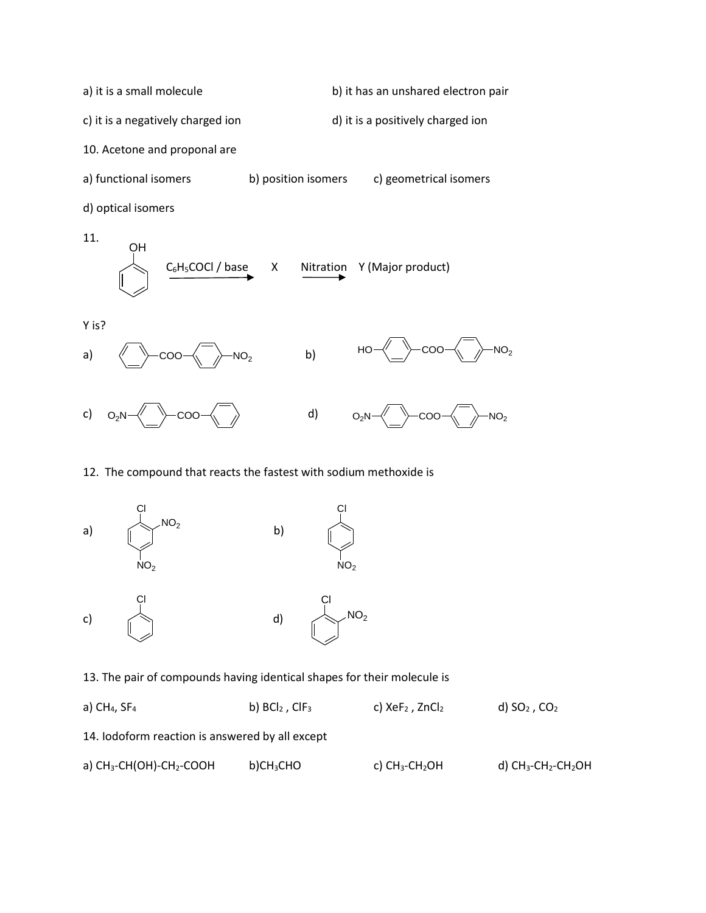a) it is a small molecule b) it has an unshared electron pair c) it is a negatively charged ion d) it is a positively charged ion 10. Acetone and proponal are a) functional isomers b) position isomers c) geometrical isomers d) optical isomers 11.  $C_6H_5COCl$  / base  $X$  Nitration Y (Major product) OH



### 12. The compound that reacts the fastest with sodium methoxide is



13. The pair of compounds having identical shapes for their molecule is

a) CH<sub>4</sub>, SF<sub>4</sub> b) BCl<sub>2</sub>, ClF<sub>3</sub> c) XeF<sub>2</sub>, ZnCl<sub>2</sub> d) SO<sub>2</sub>, CO<sub>2</sub> 14. Iodoform reaction is answered by all except a) CH<sub>3</sub>-CH(OH)-CH<sub>2</sub>-COOH b)CH<sub>3</sub>CHO c) CH<sub>3</sub>-CH<sub>2</sub>OH d) CH<sub>3</sub>-CH<sub>2</sub>OH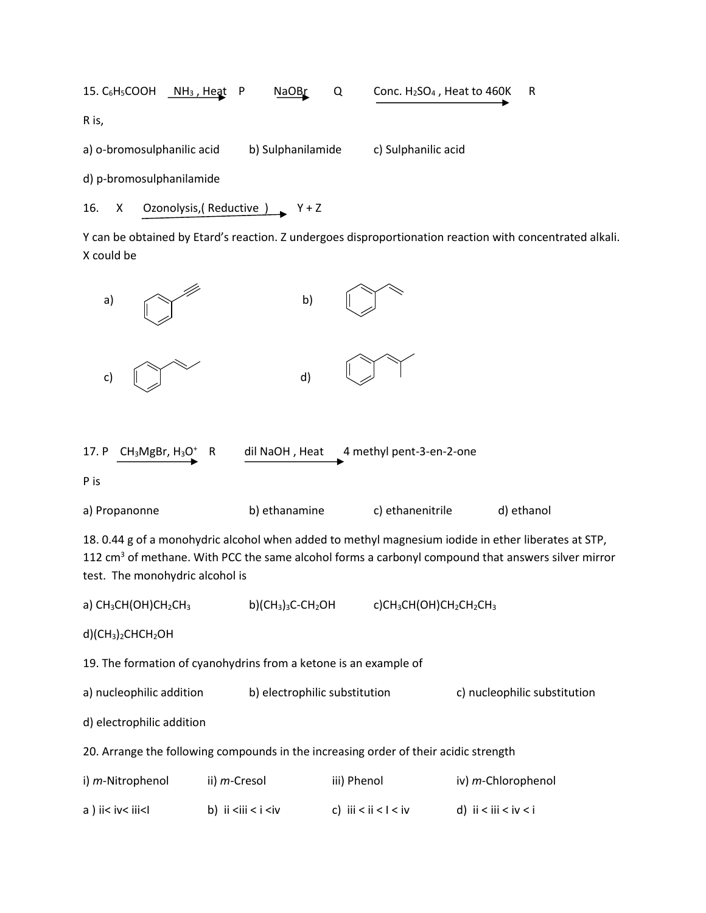15. C<sub>6</sub>H<sub>5</sub>COOH **NH<sub>3</sub>**, Heat P NaOBr Q Conc. H<sub>2</sub>SO<sub>4</sub>, Heat to 460K R R is, a) o-bromosulphanilic acid b) Sulphanilamide c) Sulphanilic acid

d) p-bromosulphanilamide

#### 16. X Ozonolysis, (Reductive ) Y+Z

Y can be obtained by Etard's reaction. Z undergoes disproportionation reaction with concentrated alkali. X could be

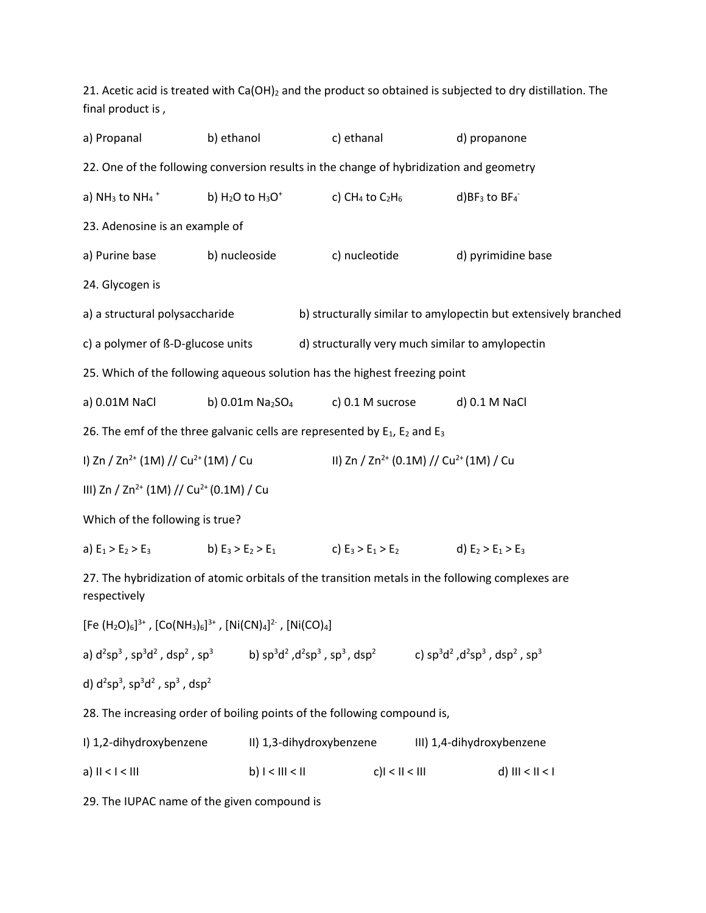| final product is,                                                                                                                   |                                                                                         |                                |                                                                | 21. Acetic acid is treated with Ca(OH) <sub>2</sub> and the product so obtained is subjected to dry distillation. The |  |
|-------------------------------------------------------------------------------------------------------------------------------------|-----------------------------------------------------------------------------------------|--------------------------------|----------------------------------------------------------------|-----------------------------------------------------------------------------------------------------------------------|--|
| a) Propanal                                                                                                                         | b) ethanol                                                                              | c) ethanal                     |                                                                | d) propanone                                                                                                          |  |
|                                                                                                                                     | 22. One of the following conversion results in the change of hybridization and geometry |                                |                                                                |                                                                                                                       |  |
| a) $NH_3$ to $NH_4$ <sup>+</sup>                                                                                                    | b) $H_2O$ to $H_3O^+$                                                                   | c) CH <sub>4</sub> to $C_2H_6$ |                                                                | $d)BF_3$ to $BF_4$                                                                                                    |  |
| 23. Adenosine is an example of                                                                                                      |                                                                                         |                                |                                                                |                                                                                                                       |  |
| a) Purine base                                                                                                                      | b) nucleoside                                                                           | c) nucleotide                  |                                                                | d) pyrimidine base                                                                                                    |  |
| 24. Glycogen is                                                                                                                     |                                                                                         |                                |                                                                |                                                                                                                       |  |
| a) a structural polysaccharide                                                                                                      |                                                                                         |                                |                                                                | b) structurally similar to amylopectin but extensively branched                                                       |  |
| c) a polymer of ß-D-glucose units                                                                                                   |                                                                                         |                                |                                                                | d) structurally very much similar to amylopectin                                                                      |  |
| 25. Which of the following aqueous solution has the highest freezing point                                                          |                                                                                         |                                |                                                                |                                                                                                                       |  |
| a) 0.01M NaCl                                                                                                                       | b) 0.01m Na2SO <sub>4</sub>                                                             | c) 0.1 M sucrose               |                                                                | d) 0.1 M NaCl                                                                                                         |  |
| 26. The emf of the three galvanic cells are represented by $E_1$ , $E_2$ and $E_3$                                                  |                                                                                         |                                |                                                                |                                                                                                                       |  |
| I) Zn / Zn <sup>2+</sup> (1M) // Cu <sup>2+</sup> (1M) / Cu                                                                         |                                                                                         |                                | II) Zn / Zn <sup>2+</sup> (0.1M) // Cu <sup>2+</sup> (1M) / Cu |                                                                                                                       |  |
| III) Zn / Zn <sup>2+</sup> (1M) // Cu <sup>2+</sup> (0.1M) / Cu                                                                     |                                                                                         |                                |                                                                |                                                                                                                       |  |
| Which of the following is true?                                                                                                     |                                                                                         |                                |                                                                |                                                                                                                       |  |
| a) $E_1 > E_2 > E_3$ b) $E_3 > E_2 > E_1$ c) $E_3 > E_1 > E_2$ d) $E_2 > E_1 > E_3$                                                 |                                                                                         |                                |                                                                |                                                                                                                       |  |
| 27. The hybridization of atomic orbitals of the transition metals in the following complexes are<br>respectively                    |                                                                                         |                                |                                                                |                                                                                                                       |  |
| [Fe $(H_2O)_6]^{3+}$ , $[Co(NH_3)_6]^{3+}$ , $[Ni(CN)_4]^{2-}$ , $[Ni(CO)_4]$                                                       |                                                                                         |                                |                                                                |                                                                                                                       |  |
| a) $d^2sp^3$ , $sp^3d^2$ , $dsp^2$ , $sp^3$ b) $sp^3d^2$ , $d^2sp^3$ , $sp^3$ , $dsp^2$ c) $sp^3d^2$ , $d^2sp^3$ , $dsp^2$ , $sp^3$ |                                                                                         |                                |                                                                |                                                                                                                       |  |
| d) $d^{2}sp^{3}$ , $sp^{3}d^{2}$ , $sp^{3}$ , $dsp^{2}$                                                                             |                                                                                         |                                |                                                                |                                                                                                                       |  |
| 28. The increasing order of boiling points of the following compound is,                                                            |                                                                                         |                                |                                                                |                                                                                                                       |  |
| I) 1,2-dihydroxybenzene                                                                                                             |                                                                                         | II) 1,3-dihydroxybenzene       |                                                                | III) 1,4-dihydroxybenzene                                                                                             |  |
| $a)$ $II < I < III$                                                                                                                 | $b)$ $I < III < II$                                                                     |                                | $c$ ) $l < II < III$                                           | d) $III < II < I$                                                                                                     |  |

29. The IUPAC name of the given compound is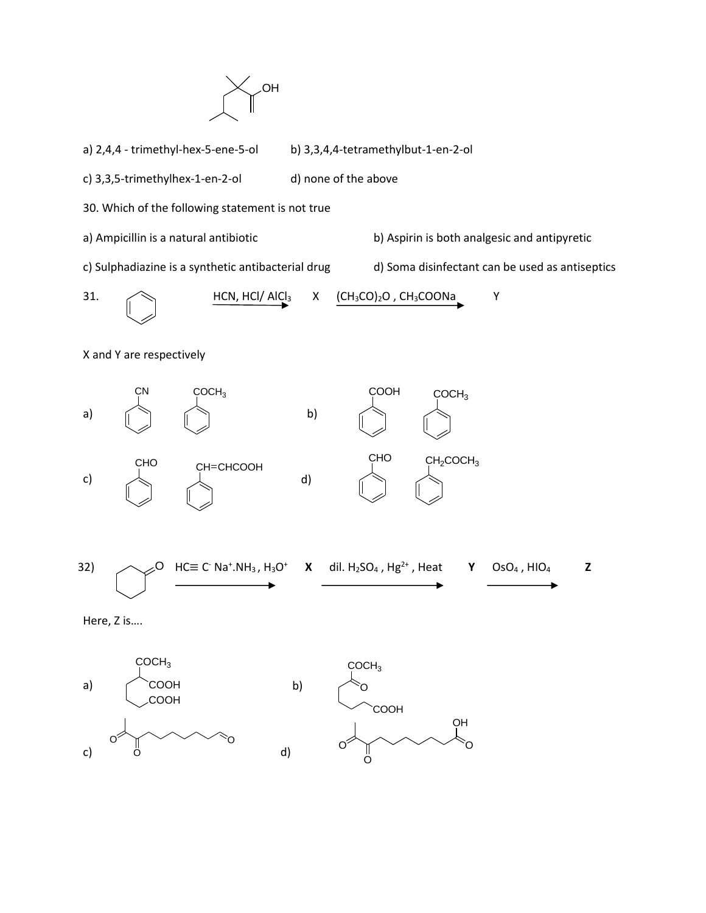

- a) 2,4,4 trimethyl-hex-5-ene-5-ol b) 3,3,4,4-tetramethylbut-1-en-2-ol
- d) none of the above c) 3,3,5-trimethylhex-1-en-2-ol
- 30. Which of the following statement is not true
- a) Ampicillin is a natural antibiotic
- b) Aspirin is both analgesic and antipyretic
- c) Sulphadiazine is a synthetic antibacterial drug
- d) Soma disinfectant can be used as antiseptics

31. 
$$
\underbrace{HCN, HCl/A|Cl_3}_{}
$$
 X 
$$
\underbrace{(CH_3CO)_2O, CH_3COONa}_{}
$$
 Y

d)

X and Y are respectively



`0  $\overline{0}$ c)

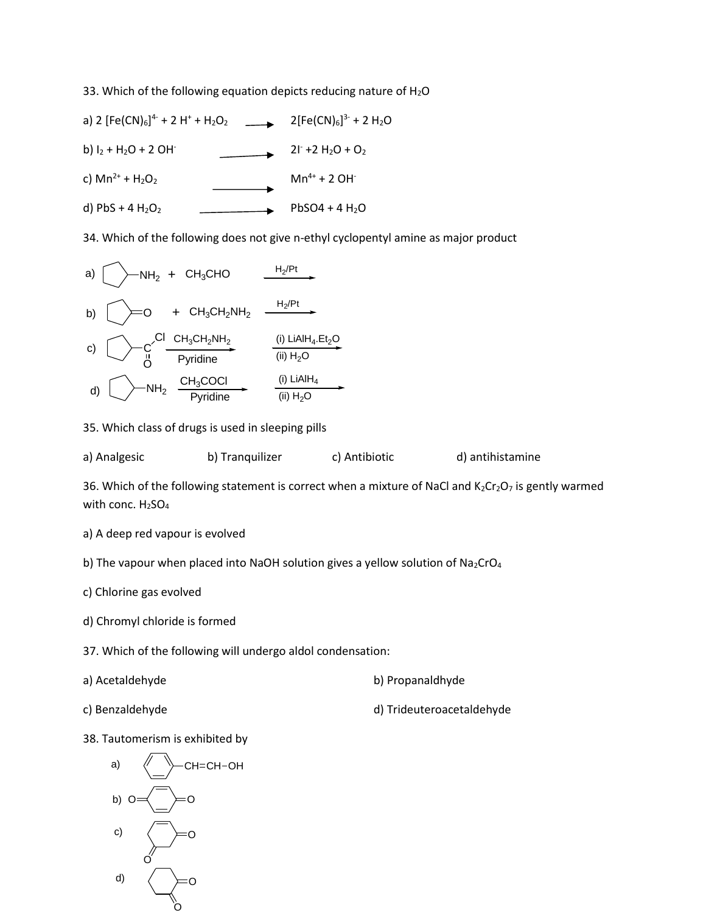33. Which of the following equation depicts reducing nature of  $H_2O$ 

a) 2 [Fe(CN)6] 4- + 2 H<sup>+</sup> + H2O2 2[Fe(CN)6] 3- + 2 H2O b)  $I_2$  + H<sub>2</sub>O + 2 OH<sup>-</sup>  $21 + 2 H_2O + O_2$ c)  $Mn^{2+} + H_2O_2$  $Mn^{4+} + 2 OH^{-}$ d) PbS + 4  $H_2O_2$  PbSO4 + 4  $H_2O$ 

34. Which of the following does not give n-ethyl cyclopentyl amine as major product

a) 
$$
[-NH_2 + CH_3CHO
$$
  
\nb)  $[-O + CH_3CH_2NH_2$   
\nc)  $[-C \times \frac{Cl \cdot CH_3CH_2NH_2}{P \text{yridine}}]$   
\nd)  $[-CH_3COCl \times \frac{(i) \text{LiAlH}_4 \cdot Et_2O}{(ii) H_2O}]$   
\nd)  $[-NH_2 \frac{CH_3COCl}{P \text{yridine}}]$   
\ne)  $\frac{(i) \text{LiAlH}_4}{(ii) H_2O}$ 

35. Which class of drugs is used in sleeping pills

a) Analgesic b) Tranquilizer c) Antibiotic d) antihistamine

36. Which of the following statement is correct when a mixture of NaCl and  $K_2Cr_2O_7$  is gently warmed with conc.  $H<sub>2</sub>SO<sub>4</sub>$ 

a) A deep red vapour is evolved

b) The vapour when placed into NaOH solution gives a yellow solution of Na<sub>2</sub>CrO<sub>4</sub>

c) Chlorine gas evolved

d) Chromyl chloride is formed

37. Which of the following will undergo aldol condensation:

a) Acetaldehyde b) Propanaldhyde

c) Benzaldehyde d) Trideuteroacetaldehyde

38. Tautomerism is exhibited by



O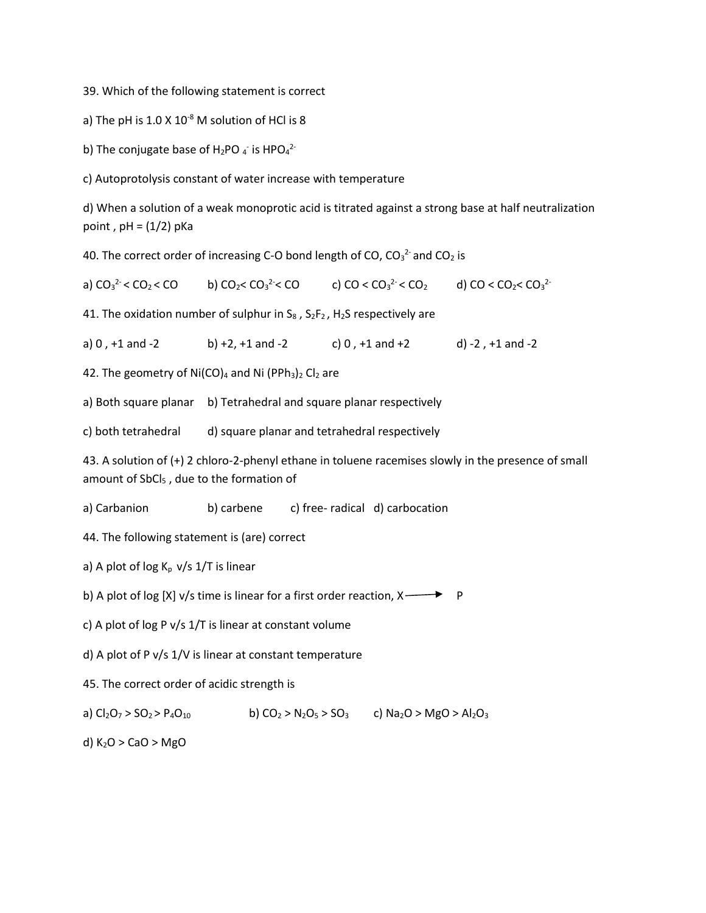39. Which of the following statement is correct

a) The pH is  $1.0 \times 10^{-8}$  M solution of HCl is 8

b) The conjugate base of H<sub>2</sub>PO  $_4$  is HPO $_4$ <sup>2-</sup>

c) Autoprotolysis constant of water increase with temperature

d) When a solution of a weak monoprotic acid is titrated against a strong base at half neutralization point,  $pH = (1/2) pKa$ 

40. The correct order of increasing C-O bond length of CO,  $CO_3^2$  and  $CO_2$  is

a)  $CO_3^2$  <  $CO_2$  <  $CO$  b)  $CO_2$  <  $CO_3$ b)  $CO_2 < CO_3^2 < CO$  c)  $CO < CO_3^2 < CO_2$  $2<sup>2</sup> < CO_2$  d) CO < CO<sub>2</sub> < CO<sub>3</sub><sup>2-</sup>

41. The oxidation number of sulphur in  $S_8$ ,  $S_2F_2$ ,  $H_2S$  respectively are

a) 0 , +1 and -2 b) +2, +1 and -2 c) 0 , +1 and +2 d) -2 , +1 and -2

42. The geometry of  $Ni(CO)_4$  and Ni (PPh<sub>3</sub>)<sub>2</sub> Cl<sub>2</sub> are

a) Both square planar b) Tetrahedral and square planar respectively

c) both tetrahedral d) square planar and tetrahedral respectively

43. A solution of (+) 2 chloro-2-phenyl ethane in toluene racemises slowly in the presence of small amount of SbCl<sub>5</sub>, due to the formation of

a) Carbanion b) carbene c) free- radical d) carbocation

44. The following statement is (are) correct

a) A plot of log  $K_p$  v/s 1/T is linear

b) A plot of log [X] v/s time is linear for a first order reaction,  $X \rightarrow \mathbb{P}$  P

c) A plot of log P v/s 1/T is linear at constant volume

d) A plot of P v/s 1/V is linear at constant temperature

45. The correct order of acidic strength is

a)  $Cl_2O_7 > SO_2 > P_4O_{10}$  b)  $CO_2 > N_2O_5 > SO_3$  c)  $Na_2O > MgO > Al_2O_3$ 

d)  $K<sub>2</sub>O > CaO > MgO$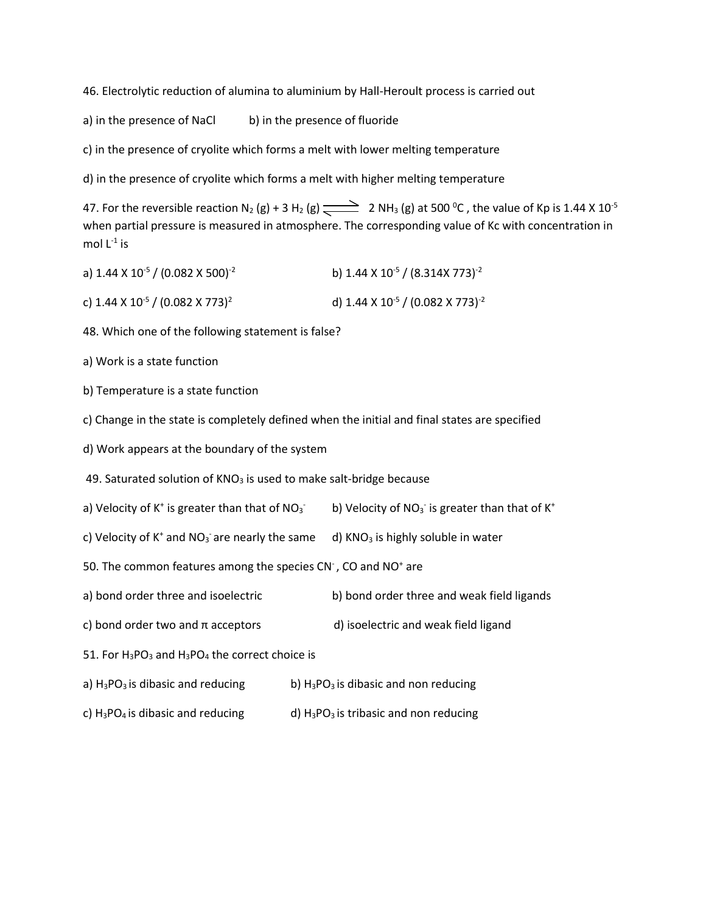46. Electrolytic reduction of alumina to aluminium by Hall-Heroult process is carried out

a) in the presence of NaCl b) in the presence of fluoride

c) in the presence of cryolite which forms a melt with lower melting temperature

d) in the presence of cryolite which forms a melt with higher melting temperature

47. For the reversible reaction N<sub>2</sub> (g) + 3 H<sub>2</sub> (g)  $\implies$  2 NH<sub>3</sub> (g) at 500 <sup>o</sup>C, the value of Kp is 1.44 X 10<sup>-5</sup> when partial pressure is measured in atmosphere. The corresponding value of Kc with concentration in mol  $L^{-1}$  is

| a) $1.44 \times 10^{-5}$ / (0.082 X 500) <sup>-2</sup>  | b) 1.44 X 10 <sup>-5</sup> / (8.314X 773) <sup>-2</sup>  |
|---------------------------------------------------------|----------------------------------------------------------|
| c) 1.44 X 10 <sup>-5</sup> / (0.082 X 773) <sup>2</sup> | d) 1.44 X 10 <sup>-5</sup> / (0.082 X 773) <sup>-2</sup> |

48. Which one of the following statement is false?

a) Work is a state function

b) Temperature is a state function

c) Change in the state is completely defined when the initial and final states are specified

d) Work appears at the boundary of the system

49. Saturated solution of  $KNO<sub>3</sub>$  is used to make salt-bridge because

a) Velocity of  $K^+$  is greater than that of NO<sub>3</sub> b) Velocity of  $NO_3$  is greater than that of  $K^+$ 

c) Velocity of K<sup>+</sup> and NO<sub>3</sub> are nearly the same  $-d$ ) KNO<sub>3</sub> is highly soluble in water

50. The common features among the species CN<sup>-</sup>, CO and NO<sup>+</sup> are

- a) bond order three and isoelectric b) bond order three and weak field ligands
- c) bond order two and  $\pi$  acceptors d) isoelectric and weak field ligand

51. For  $H_3PO_3$  and  $H_3PO_4$  the correct choice is

- a)  $H_3PO_3$  is dibasic and reducing b)  $H_3PO_3$  is dibasic and non reducing
- c)  $H_3PO_4$  is dibasic and reducing d)  $H_3PO_3$  is tribasic and non reducing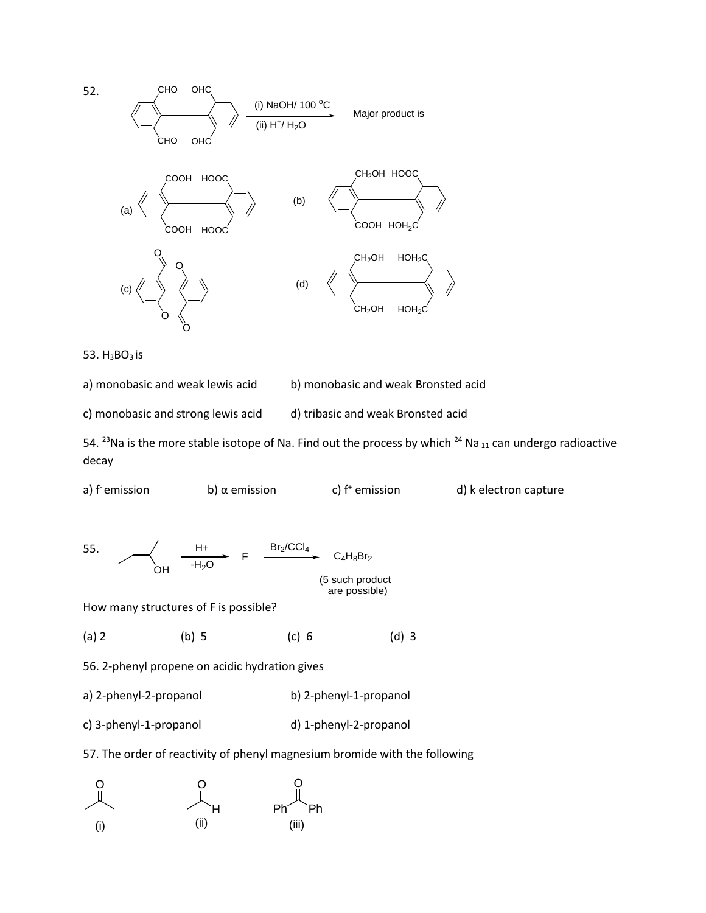

53. H<sub>3</sub>BO<sub>3</sub> is

a) monobasic and weak lewis acid b) monobasic and weak Bronsted acid

c) monobasic and strong lewis acid all tribasic and weak Bronsted acid

54. <sup>23</sup>Na is the more stable isotope of Na. Find out the process by which <sup>24</sup> Na <sub>11</sub> can undergo radioactive decay



55. OH F  $H +$  Br<sub>2</sub>/CCl<sub>4</sub>  $-H<sub>2</sub>O$  $C_4H_8Br_2$ 

(5 such product are possible)

How many structures of F is possible?

(a) 2 (b) 5 (c) 6 (d) 3

56. 2-phenyl propene on acidic hydration gives

a) 2-phenyl-2-propanol b) 2-phenyl-1-propanol

c) 3-phenyl-1-propanol d) 1-phenyl-2-propanol

57. The order of reactivity of phenyl magnesium bromide with the following

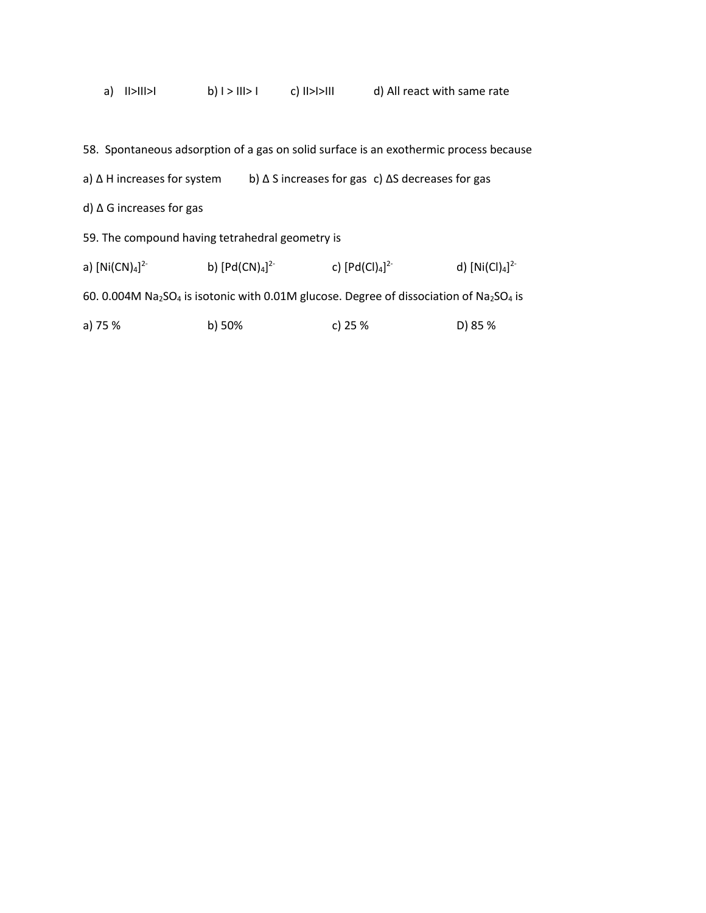|  | a) $  >   >  $ | $b)$   >     > | $c)$ $  >$ $  >$ $  $ | d) All react with same rate |
|--|----------------|----------------|-----------------------|-----------------------------|
|--|----------------|----------------|-----------------------|-----------------------------|

|                                                                                                                                         |                     | 58. Spontaneous adsorption of a gas on solid surface is an exothermic process because |                 |
|-----------------------------------------------------------------------------------------------------------------------------------------|---------------------|---------------------------------------------------------------------------------------|-----------------|
| a) $\Delta$ H increases for system                                                                                                      |                     | b) $\Delta$ S increases for gas c) $\Delta$ S decreases for gas                       |                 |
| d) $\Delta$ G increases for gas                                                                                                         |                     |                                                                                       |                 |
| 59. The compound having tetrahedral geometry is                                                                                         |                     |                                                                                       |                 |
| a) $[Ni(CN)4]^{2-}$                                                                                                                     | b) $[Pd(CN)4]^{2-}$ | c) $[Pd(Cl)4]^{2-}$                                                                   | d) $[Ni(Cl)4]2$ |
| 60. 0.004M Na <sub>2</sub> SO <sub>4</sub> is isotonic with 0.01M glucose. Degree of dissociation of Na <sub>2</sub> SO <sub>4</sub> is |                     |                                                                                       |                 |
| a) 75 %                                                                                                                                 | $b)$ 50%            | c) 25 $%$                                                                             | D) 85 %         |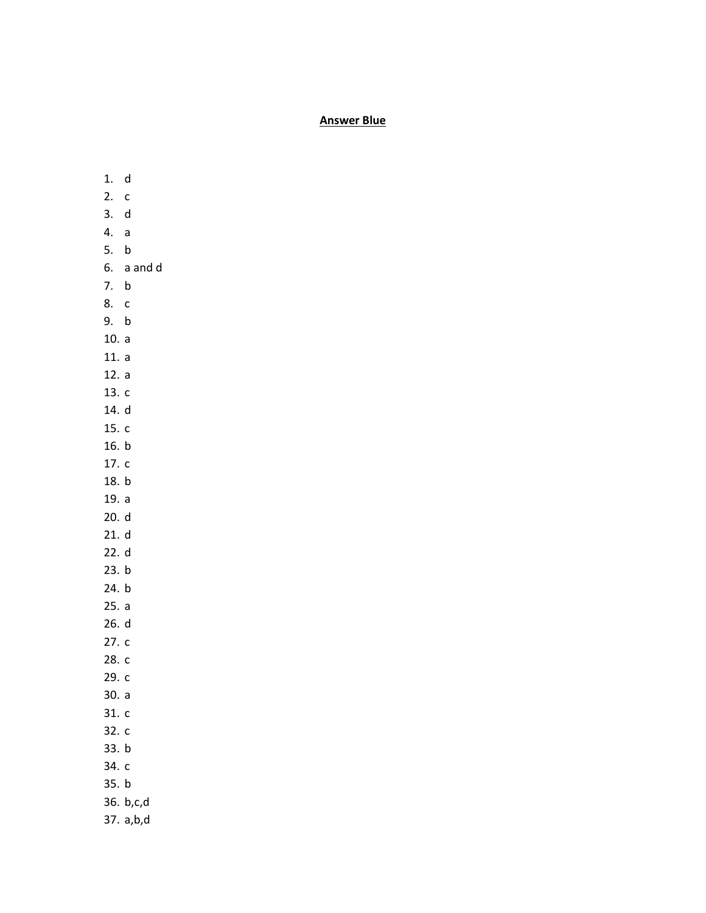## **Answer Blue**

- 1. d 2. c 3. d 4. a 5. b 6. a and d 7. b 8. c 9. b 10. a 11. a 12. a 13. c 14. d 15. c 16. b 17. c 18. b 19. a 20. d 21. d 22. d 23. b 24. b 25. a 26. d 27. c 28. c 29. c 30. a 31. c 32. c 33. b 34. c 35. b 36. b,c,d
- 37. a,b,d